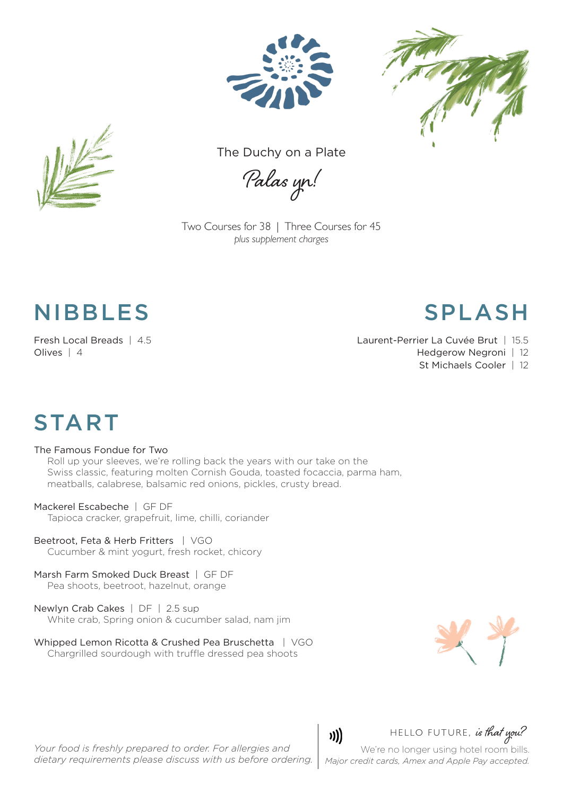





The Duchy on a Plate

Palas yn!

Two Courses for 38 | Three Courses for 45 *plus supplement charges*

### NIBBLES SPLASH

Olives | 4 Hedgerow Negroni | 12

Fresh Local Breads | 4.5 Laurent-Perrier La Cuvée Brut | 15.5

St Michaels Cooler | 12

# **START**

#### The Famous Fondue for Two

Roll up your sleeves, we're rolling back the years with our take on the Swiss classic, featuring molten Cornish Gouda, toasted focaccia, parma ham, meatballs, calabrese, balsamic red onions, pickles, crusty bread.

#### Mackerel Escabeche | GF DF

Tapioca cracker, grapefruit, lime, chilli, coriander

- Beetroot, Feta & Herb Fritters | VGO Cucumber & mint yogurt, fresh rocket, chicory
- Marsh Farm Smoked Duck Breast | GF DF Pea shoots, beetroot, hazelnut, orange
- Newlyn Crab Cakes | DF | 2.5 sup White crab, Spring onion & cucumber salad, nam jim
- Whipped Lemon Ricotta & Crushed Pea Bruschetta | VGO Chargrilled sourdough with truffle dressed pea shoots



*Your food is freshly prepared to order. For allergies and dietary requirements please discuss with us before ordering.*

### HELLO FUTURE, is that you?

We're no longer using hotel room bills. *Major credit cards, Amex and Apple Pay accepted.* 

)))